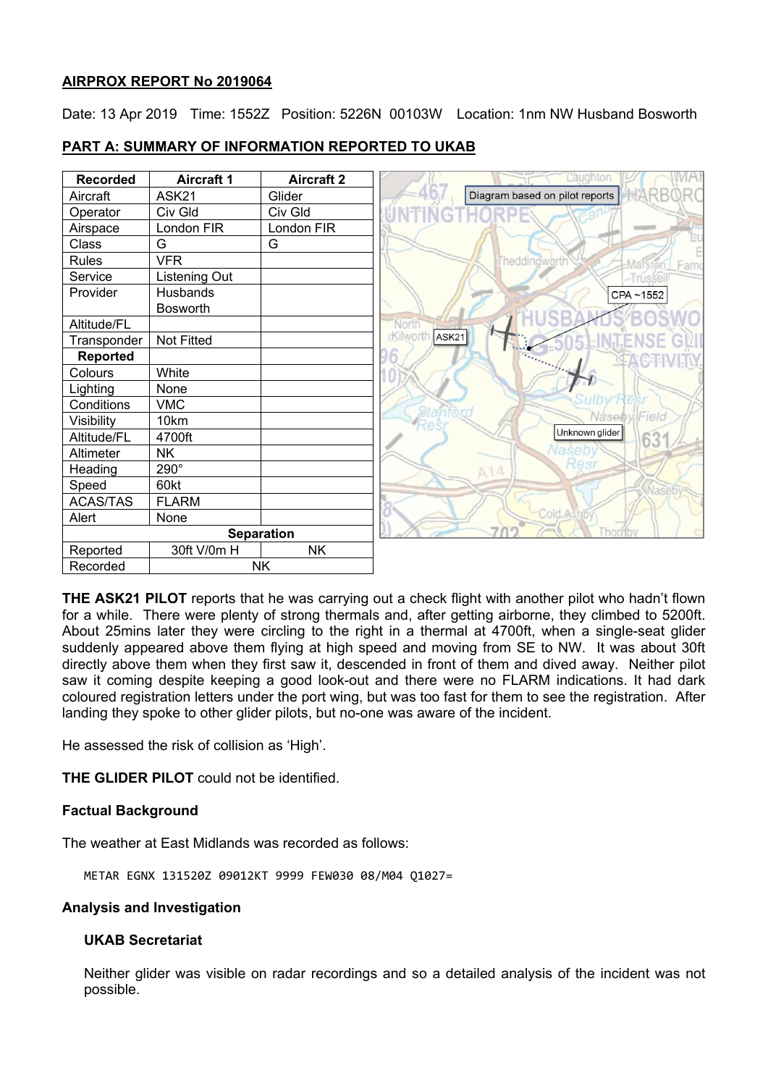### **AIRPROX REPORT No 2019064**

Date: 13 Apr 2019 Time: 1552Z Position: 5226N 00103W Location: 1nm NW Husband Bosworth

| <b>PART A: SUMMARY OF INFORMATION REPORTED TO UKAB</b> |  |
|--------------------------------------------------------|--|
|                                                        |  |

| <b>Recorded</b>   | <b>Aircraft 1</b> | <b>Aircraft 2</b> | Laughton                                      |
|-------------------|-------------------|-------------------|-----------------------------------------------|
| Aircraft          | ASK21             | Glider            | <b>XARB</b><br>Diagram based on pilot reports |
| Operator          | Civ Gld           | Civ Gld           |                                               |
| Airspace          | London FIR        | London FIR        |                                               |
| Class             | G                 | G                 |                                               |
| Rules             | <b>VFR</b>        |                   | Theddingworth<br>Farno<br>Mars                |
| Service           | Listening Out     |                   | -Trussel                                      |
| Provider          | Husbands          |                   | CPA~1552                                      |
|                   | <b>Bosworth</b>   |                   |                                               |
| Altitude/FL       |                   |                   | North                                         |
| Transponder       | Not Fitted        |                   | cKilworth<br>ASK <sub>21</sub>                |
| <b>Reported</b>   |                   |                   |                                               |
| Colours           | White             |                   |                                               |
| Lighting          | None              |                   |                                               |
| Conditions        | <b>VMC</b>        |                   |                                               |
| Visibility        | 10km              |                   | Stanf<br>NasebylField                         |
| Altitude/FL       | 4700ft            |                   | Unknown glider<br>63'                         |
| Altimeter         | <b>NK</b>         |                   | Vaseb                                         |
| Heading           | 290°              |                   | Resi<br>A14                                   |
| Speed             | 60kt              |                   |                                               |
| <b>ACAS/TAS</b>   | <b>FLARM</b>      |                   |                                               |
| Alert             | None              |                   | Cold As                                       |
| <b>Separation</b> |                   |                   | my.<br>Thor                                   |
| Reported          | 30ft V/0m H       | <b>NK</b>         |                                               |
| Recorded          |                   | <b>NK</b>         |                                               |

**THE ASK21 PILOT** reports that he was carrying out a check flight with another pilot who hadn't flown for a while. There were plenty of strong thermals and, after getting airborne, they climbed to 5200ft. About 25mins later they were circling to the right in a thermal at 4700ft, when a single-seat glider suddenly appeared above them flying at high speed and moving from SE to NW. It was about 30ft directly above them when they first saw it, descended in front of them and dived away. Neither pilot saw it coming despite keeping a good look-out and there were no FLARM indications. It had dark coloured registration letters under the port wing, but was too fast for them to see the registration. After landing they spoke to other glider pilots, but no-one was aware of the incident.

He assessed the risk of collision as 'High'.

**THE GLIDER PILOT** could not be identified.

# **Factual Background**

The weather at East Midlands was recorded as follows:

METAR EGNX 131520Z 09012KT 9999 FEW030 08/M04 Q1027=

### **Analysis and Investigation**

### **UKAB Secretariat**

Neither glider was visible on radar recordings and so a detailed analysis of the incident was not possible.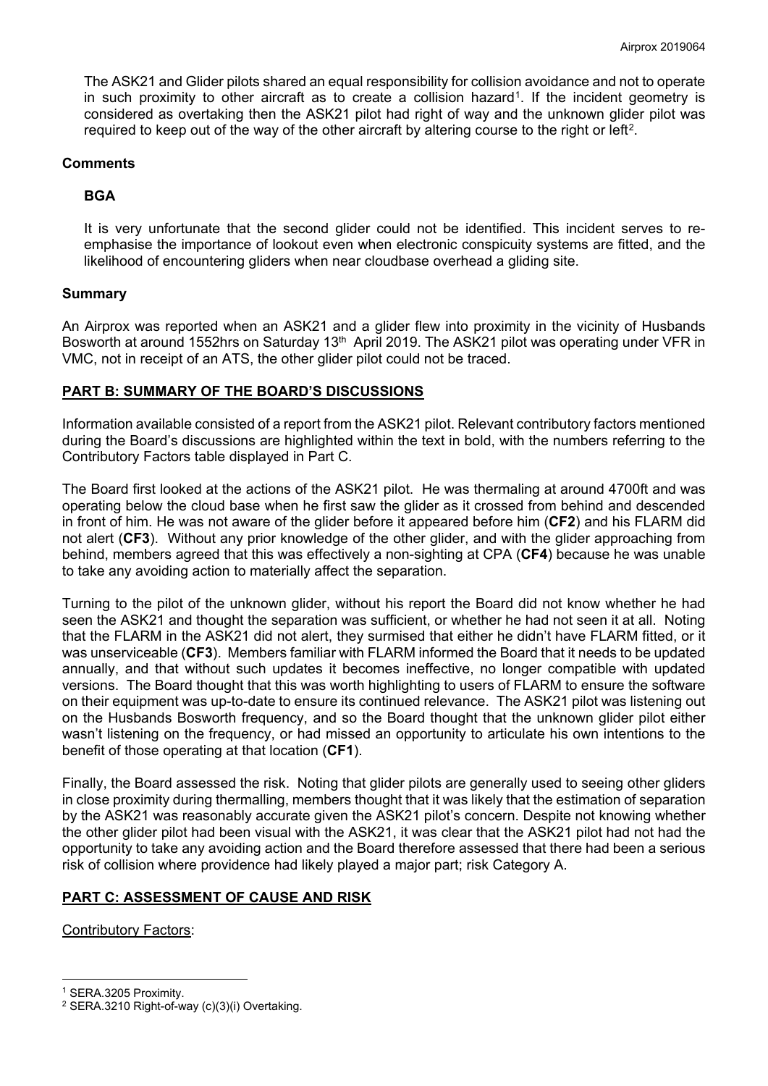The ASK21 and Glider pilots shared an equal responsibility for collision avoidance and not to operate in such proximity to other aircraft as to create a collision hazard<sup>1</sup>. If the incident geometry is considered as overtaking then the ASK21 pilot had right of way and the unknown glider pilot was required to keep out of the way of the other aircraft by altering course to the right or left<sup>2</sup>.

### **Comments**

## **BGA**

It is very unfortunate that the second glider could not be identified. This incident serves to reemphasise the importance of lookout even when electronic conspicuity systems are fitted, and the likelihood of encountering gliders when near cloudbase overhead a gliding site.

### **Summary**

An Airprox was reported when an ASK21 and a glider flew into proximity in the vicinity of Husbands Bosworth at around 1552hrs on Saturday 13<sup>th</sup> April 2019. The ASK21 pilot was operating under VFR in VMC, not in receipt of an ATS, the other glider pilot could not be traced.

### **PART B: SUMMARY OF THE BOARD'S DISCUSSIONS**

Information available consisted of a report from the ASK21 pilot. Relevant contributory factors mentioned during the Board's discussions are highlighted within the text in bold, with the numbers referring to the Contributory Factors table displayed in Part C.

The Board first looked at the actions of the ASK21 pilot. He was thermaling at around 4700ft and was operating below the cloud base when he first saw the glider as it crossed from behind and descended in front of him. He was not aware of the glider before it appeared before him (**CF2**) and his FLARM did not alert (**CF3**). Without any prior knowledge of the other glider, and with the glider approaching from behind, members agreed that this was effectively a non-sighting at CPA (**CF4**) because he was unable to take any avoiding action to materially affect the separation.

Turning to the pilot of the unknown glider, without his report the Board did not know whether he had seen the ASK21 and thought the separation was sufficient, or whether he had not seen it at all. Noting that the FLARM in the ASK21 did not alert, they surmised that either he didn't have FLARM fitted, or it was unserviceable (**CF3**). Members familiar with FLARM informed the Board that it needs to be updated annually, and that without such updates it becomes ineffective, no longer compatible with updated versions. The Board thought that this was worth highlighting to users of FLARM to ensure the software on their equipment was up-to-date to ensure its continued relevance. The ASK21 pilot was listening out on the Husbands Bosworth frequency, and so the Board thought that the unknown glider pilot either wasn't listening on the frequency, or had missed an opportunity to articulate his own intentions to the benefit of those operating at that location (**CF1**).

Finally, the Board assessed the risk. Noting that glider pilots are generally used to seeing other gliders in close proximity during thermalling, members thought that it was likely that the estimation of separation by the ASK21 was reasonably accurate given the ASK21 pilot's concern. Despite not knowing whether the other glider pilot had been visual with the ASK21, it was clear that the ASK21 pilot had not had the opportunity to take any avoiding action and the Board therefore assessed that there had been a serious risk of collision where providence had likely played a major part; risk Category A.

# **PART C: ASSESSMENT OF CAUSE AND RISK**

Contributory Factors:

 $\overline{\phantom{a}}$ 

<span id="page-1-0"></span><sup>1</sup> SERA.3205 Proximity.

<span id="page-1-1"></span><sup>2</sup> SERA.3210 Right-of-way (c)(3)(i) Overtaking.